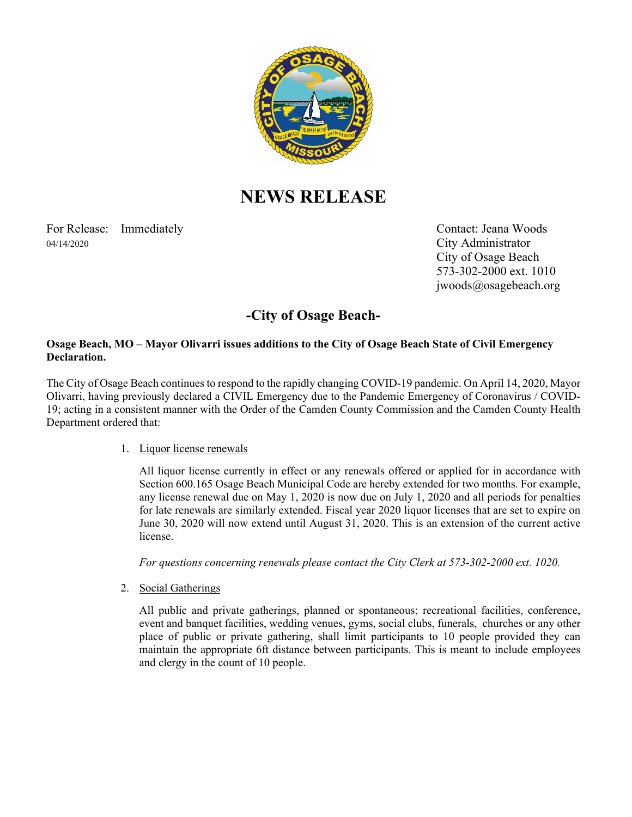

# **NEWS RELEASE**

For Release: Immediately Contact: Jeana Woods 04/14/2020 City Administrator

 City of Osage Beach 573-302-2000 ext. 1010 jwoods@osagebeach.org

## **-City of Osage Beach-**

#### **Osage Beach, MO – Mayor Olivarri issues additions to the City of Osage Beach State of Civil Emergency Declaration.**

The City of Osage Beach continues to respond to the rapidly changing COVID-19 pandemic. On April 14, 2020, Mayor Olivarri, having previously declared a CIVIL Emergency due to the Pandemic Emergency of Coronavirus / COVID-19; acting in a consistent manner with the Order of the Camden County Commission and the Camden County Health Department ordered that:

#### 1. Liquor license renewals

 All liquor license currently in effect or any renewals offered or applied for in accordance with Section 600.165 Osage Beach Municipal Code are hereby extended for two months. For example, any license renewal due on May 1, 2020 is now due on July 1, 2020 and all periods for penalties for late renewals are similarly extended. Fiscal year 2020 liquor licenses that are set to expire on June 30, 2020 will now extend until August 31, 2020. This is an extension of the current active license.

*For questions concerning renewals please contact the City Clerk at 573-302-2000 ext. 1020.* 

2. Social Gatherings

 All public and private gatherings, planned or spontaneous; recreational facilities, conference, event and banquet facilities, wedding venues, gyms, social clubs, funerals, churches or any other place of public or private gathering, shall limit participants to 10 people provided they can maintain the appropriate 6ft distance between participants. This is meant to include employees and clergy in the count of 10 people.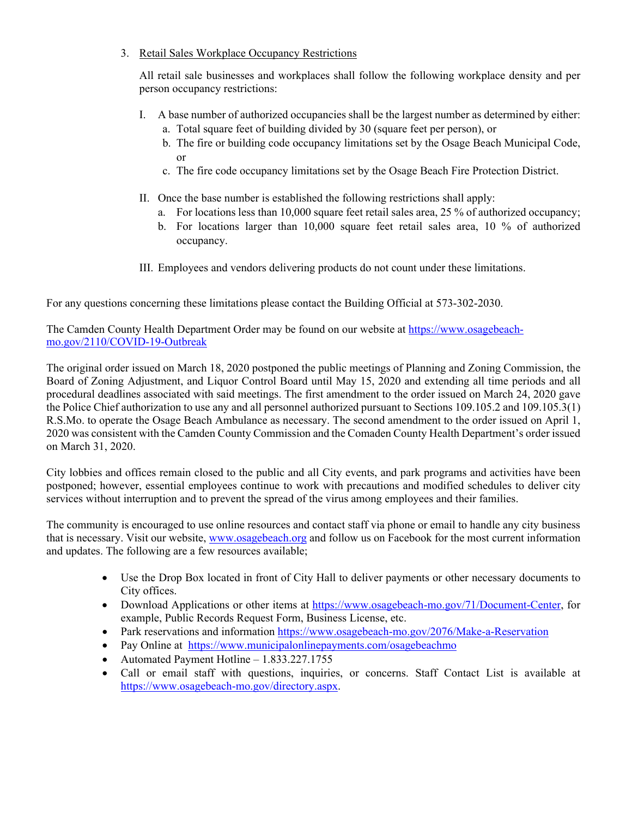### 3. Retail Sales Workplace Occupancy Restrictions

 All retail sale businesses and workplaces shall follow the following workplace density and per person occupancy restrictions:

- I. A base number of authorized occupancies shall be the largest number as determined by either: a. Total square feet of building divided by 30 (square feet per person), or
	- b. The fire or building code occupancy limitations set by the Osage Beach Municipal Code, or
	- c. The fire code occupancy limitations set by the Osage Beach Fire Protection District.
- II. Once the base number is established the following restrictions shall apply:
	- a. For locations less than 10,000 square feet retail sales area, 25 % of authorized occupancy;
	- b. For locations larger than 10,000 square feet retail sales area, 10 % of authorized occupancy.
- III. Employees and vendors delivering products do not count under these limitations.

For any questions concerning these limitations please contact the Building Official at 573-302-2030.

The Camden County Health Department Order may be found on our website at https://www.osagebeachmo.gov/2110/COVID-19-Outbreak

The original order issued on March 18, 2020 postponed the public meetings of Planning and Zoning Commission, the Board of Zoning Adjustment, and Liquor Control Board until May 15, 2020 and extending all time periods and all procedural deadlines associated with said meetings. The first amendment to the order issued on March 24, 2020 gave the Police Chief authorization to use any and all personnel authorized pursuant to Sections 109.105.2 and 109.105.3(1) R.S.Mo. to operate the Osage Beach Ambulance as necessary. The second amendment to the order issued on April 1, 2020 was consistent with the Camden County Commission and the Comaden County Health Department's order issued on March 31, 2020.

City lobbies and offices remain closed to the public and all City events, and park programs and activities have been postponed; however, essential employees continue to work with precautions and modified schedules to deliver city services without interruption and to prevent the spread of the virus among employees and their families.

The community is encouraged to use online resources and contact staff via phone or email to handle any city business that is necessary. Visit our website, www.osagebeach.org and follow us on Facebook for the most current information and updates. The following are a few resources available;

- Use the Drop Box located in front of City Hall to deliver payments or other necessary documents to City offices.
- Download Applications or other items at https://www.osagebeach-mo.gov/71/Document-Center, for example, Public Records Request Form, Business License, etc.
- Park reservations and information https://www.osagebeach-mo.gov/2076/Make-a-Reservation
- Pay Online at https://www.municipalonlinepayments.com/osagebeachmo
- Automated Payment Hotline 1.833.227.1755
- Call or email staff with questions, inquiries, or concerns. Staff Contact List is available at https://www.osagebeach-mo.gov/directory.aspx.